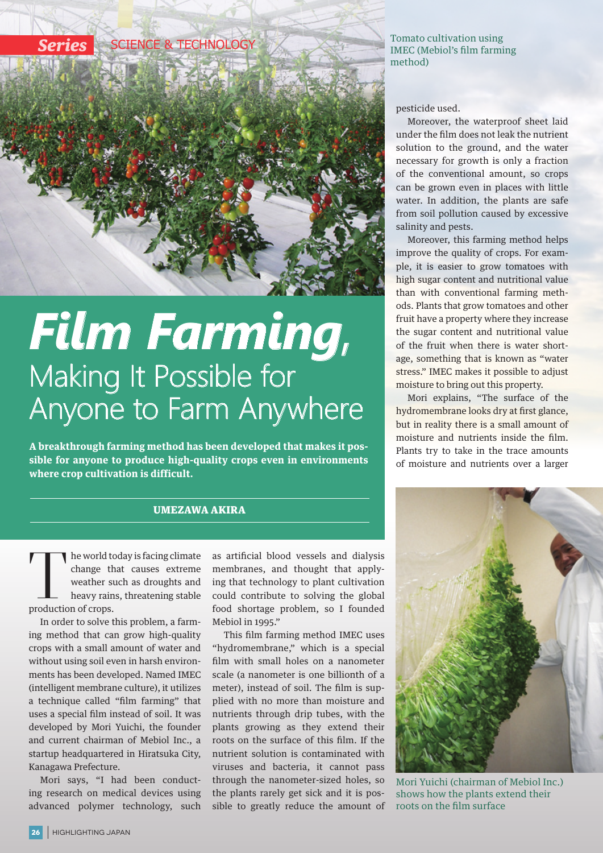

## *Film Farming*, Making It Possible for Anyone to Farm Anywhere

**A breakthrough farming method has been developed that makes it possible for anyone to produce high-quality crops even in environments where crop cultivation is difficult.**

## UMEZAWA AKIRA

The world today is facing climate<br>change that causes extreme<br>weather such as droughts and<br>heavy rains, threatening stable<br>production of crops. change that causes extreme weather such as droughts and heavy rains, threatening stable production of crops.

In order to solve this problem, a farming method that can grow high-quality crops with a small amount of water and without using soil even in harsh environments has been developed. Named IMEC (intelligent membrane culture), it utilizes a technique called "film farming" that uses a special film instead of soil. It was developed by Mori Yuichi, the founder and current chairman of Mebiol Inc., a startup headquartered in Hiratsuka City, Kanagawa Prefecture.

Mori says, "I had been conducting research on medical devices using advanced polymer technology, such

as artificial blood vessels and dialysis membranes, and thought that applying that technology to plant cultivation could contribute to solving the global food shortage problem, so I founded Mebiol in 1995."

This film farming method IMEC uses "hydromembrane," which is a special film with small holes on a nanometer scale (a nanometer is one billionth of a meter), instead of soil. The film is supplied with no more than moisture and nutrients through drip tubes, with the plants growing as they extend their roots on the surface of this film. If the nutrient solution is contaminated with viruses and bacteria, it cannot pass through the nanometer-sized holes, so the plants rarely get sick and it is possible to greatly reduce the amount of

## Tomato cultivation using IMEC (Mebiol's film farming method)

pesticide used.

Moreover, the waterproof sheet laid under the film does not leak the nutrient solution to the ground, and the water necessary for growth is only a fraction of the conventional amount, so crops can be grown even in places with little water. In addition, the plants are safe from soil pollution caused by excessive salinity and pests.

Moreover, this farming method helps improve the quality of crops. For example, it is easier to grow tomatoes with high sugar content and nutritional value than with conventional farming methods. Plants that grow tomatoes and other fruit have a property where they increase the sugar content and nutritional value of the fruit when there is water shortage, something that is known as "water stress." IMEC makes it possible to adjust moisture to bring out this property.

Mori explains, "The surface of the hydromembrane looks dry at first glance, but in reality there is a small amount of moisture and nutrients inside the film. Plants try to take in the trace amounts of moisture and nutrients over a larger



Mori Yuichi (chairman of Mebiol Inc.) shows how the plants extend their roots on the film surface